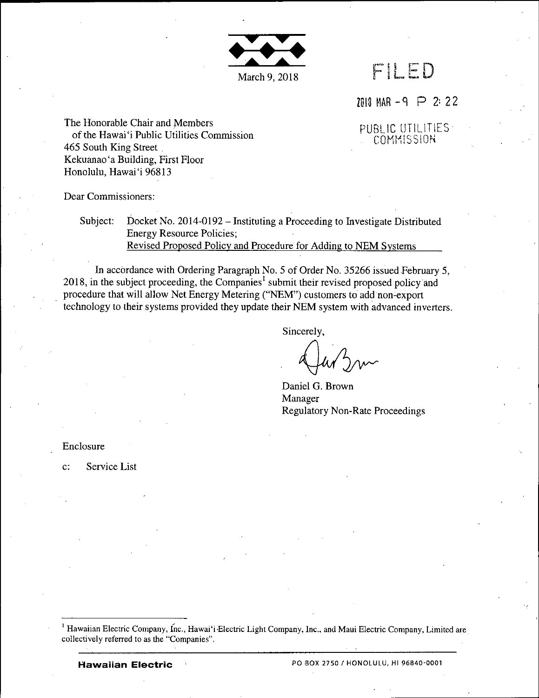

2018 MAR  $-9$   $\supset 2$ : 22

PUBLIC UTILITIES COMMISSION

The Honorable Chair and Members of the Hawai'i Public Utilities Commission 465 South King Street , Kekuanao'a Building, First Floor Honolulu, Hawai'i 96813

Dear Commissioners:

Subject: Docket No. 2014-0192 - Instituting a Proceeding to Investigate Distributed Energy Resource Policies; Revised Proposed Policy and Procedure for Adding to NEM Systems

In accordance with Ordering Paragraph No. 5 of Order No. 35266 issued February 5, 2018, in the subject proceeding, the Companies<sup>1</sup> submit their revised proposed policy and procedure that will allow Net Energy Metering ("NEM") customers to add non-export technology to their systems provided they update their NEM system with advanced inverters.

Sincerely,

Daniel G. Brown Manager Regulatory Non-Rate Proceedings

Enclosure

c: Service List

<sup>1</sup> Hawaiian Electric Company, Inc., Hawai'i-Electric Light Company, Inc., and Maui Electric Company, Limited are collectively referred to as the "Companies".

**Hawaiian Electric** PO BOX <sup>2750</sup> / HONOLULU, HI 96840-0001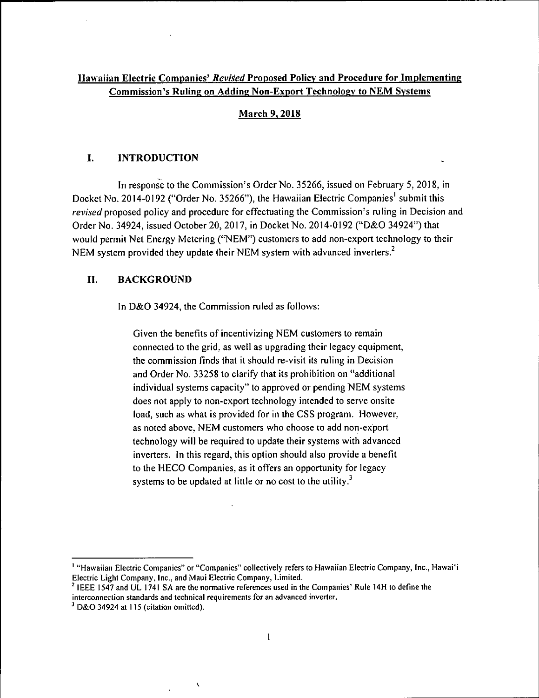# Hawaiian Electric Companies' Revised Proposed Policy and Procedure for Implementing Commission's Ruling on Adding Non-Export Technology to NEM Systems

# March 9. 2018

# I. INTRODUCTION

In response to the Commission's Order No. 35266, issued on February 5, 2018, in Docket No. 2014-0192 ("Order No. 35266"), the Hawaiian Electric Companies' submit this revised proposed policy and procedure for effectuating the Commission's ruling in Decision and Order No. 34924, issued October 20, 2017, in Docket No. 2014-0192 ("D&O 34924") that would permit Net Energy Metering ("NEM") customers to add non-export technology to their NEM system provided they update their NEM system with advanced inverters. $<sup>2</sup>$ </sup>

# II. BACKGROUND

In D&O 34924, the Commission ruled as follows:

Given the benefits of incentivizing NEM customers to remain connected to the grid, as well as upgrading their legacy equipment, the commission finds that it should re-visit its ruling in Decision and Order No. 33258 to clarify that its prohibition on "additional individual systems capacity" to approved or pending NEM systems does not apply to non-export technology intended to serve onsite load, such as what is provided for in the CSS program. However, as noted above, NEM customers who choose to add non-export technology will be required to update their systems with advanced inverters. In this regard, this option should also provide a benefit to the HECO Companies, as it offers an opportunity for legacy systems to be updated at little or no cost to the utility. $3$ 

 $\ddot{\phantom{0}}$ 

<sup>&#</sup>x27; "Hawaiian Electric Companies" or "Companies" collectively refers to Hawaiian Electric Company, Inc., Hawai'i Electric Light Company, Inc., and Maui Electric Company, Limited.

 $<sup>2</sup>$  IEEE 1547 and UL 1741 SA are the normative references used in the Companies' Rule 14H to define the</sup> interconnection standards and technical requirements for an advanced inverter.

 $3$  D&O 34924 at 115 (citation omitted).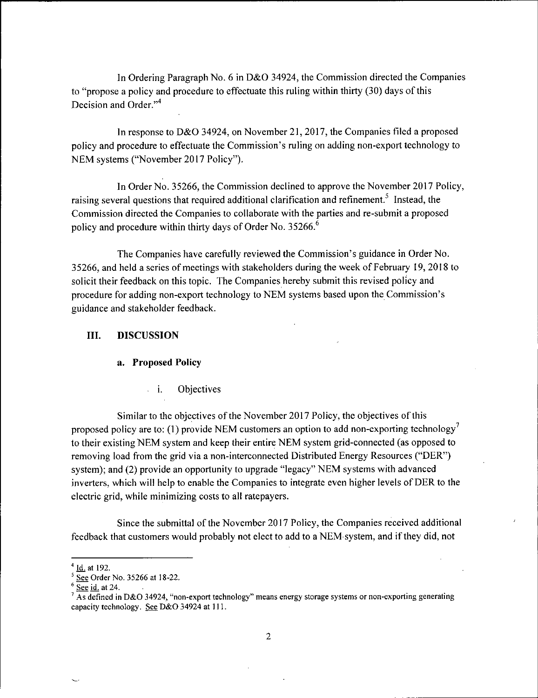In Ordering Paragraph No. 6 in D&O 34924, the Commission directed the Companies to "propose a policy and procedure to effectuate this ruling within thirty (30) days of this Decision and Order."<sup>4</sup>

In response to D&O 34924, on November 21, 2017, the Companies filed a proposed policy and procedure to effectuate the Commission's ruling on adding non-export technology to NEM systems ("November 2017 Policy").

In Order No. 35266, the Commission declined to approve the November 2017 Policy, raising several questions that required additional clarification and refinement.<sup>5</sup> Instead, the Commission directed the Companies to collaborate with the parties and re-submit a proposed policy and procedure within thirty days of Order No. 35266.<sup>6</sup>

The Companies have carefully reviewed the Commission's guidance in Order No. 35266, and held a series of meetings with stakeholders during the week of February 19, 2018 to solicit their feedback on this topic. The Companies hereby submit this revised policy and procedure for adding non-export technology to NEM systems based upon the Commission's guidance and stakeholder feedback.

### **III. DISCUSSION**

### **a. Proposed Policy**

i. Objectives

Similar to the objectives of the November 2017 Policy, the objectives of this proposed policy are to: (1) provide NEM customers an option to add non-exporting technology<sup>7</sup> to their existing NEM system and keep their entire NEM system grid-connected (as opposed to removing load from the grid via a non-interconnected Distributed Energy Resources ("DER") system); and (2) provide an opportunity to upgrade "legacy" NEM systems with advanced inverters, which will help to enable the Companies to integrate even higher levels of DER to the electric grid, while minimizing costs to all ratepayers.

Since the submittal of the November 2017 Policy, the Companies received additional feedback that customers would probably not elect to add to a NEM system, and if they did, not

Id. at 192.

See Order No. 35266 at 18-22.

 $\overline{\text{See}}$  id. at 24.

 $\sqrt[7]{\text{As}}$  defined in D&O 34924, "non-export technology" means energy storage systems or non-exporting generating capacity technology. See D&O 34924 at 111.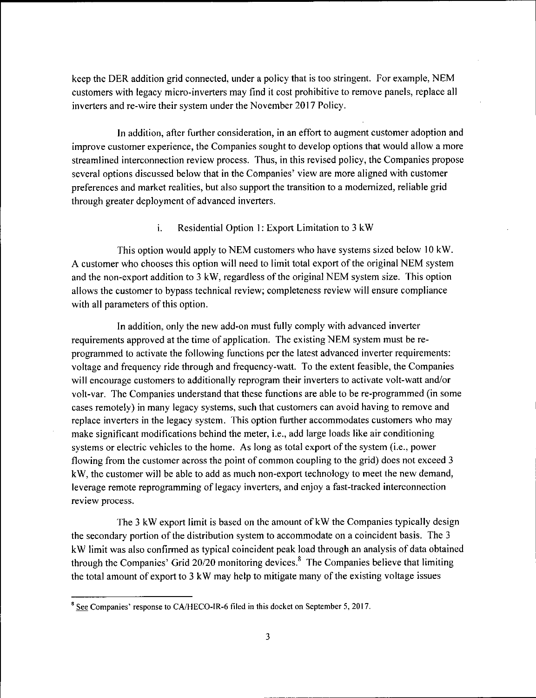keep the DER addition grid connected, under a policy that is too stringent. For example, NEM customers with legacy micro-inverters may find it cost prohibitive to remove panels, replace all inverters and re-wire their system under the November 2017 Policy.

In addition, after further consideration, in an effort to augment customer adoption and improve customer experience, the Companies sought to develop options that would allow a more streamlined interconnection review process. Thus, in this revised policy, the Companies propose several options discussed below that in the Companies' view are more aligned with customer preferences and market realities, but also support the transition to a modernized, reliable grid through greater deployment of advanced inverters.

#### i. Residential Option 1: Export Limitation to 3 kW

This option would apply to NEM customers who have systems sized below 10 kW. A customer who chooses this option will need to limit total export of the original NEM system and the non-export addition to  $3 \, \text{kW}$ , regardless of the original NEM system size. This option allows the customer to bypass technical review; completeness review will ensure compliance with all parameters of this option.

In addition, only the new add-on must fully comply with advanced inverter requirements approved at the time of application. The existing NEM system must be reprogrammed to activate the following functions per the latest advanced inverter requirements: voltage and frequency ride through and frequency-watt. To the extent feasible, the Companies will encourage customers to additionally reprogram their inverters to activate volt-watt and/or volt-var. The Companies understand that these functions are able to be re-programmed (in some cases remotely) in many legacy systems, such that customers can avoid having to remove and replace inverters in the legacy system. This option further accommodates customers who may make significant modifications behind the meter, i.e., add large loads like air conditioning systems or electric vehicles to the home. As long as total export of the system (i.e., power flowing from the customer across the point of common coupling to the grid) does not exceed 3 kW, the customer will be able to add as much non-export technology to meet the new demand, leverage remote reprogramming of legacy inverters, and enjoy a fast-tracked interconnection review process.

The 3 kW export limit is based on the amount of kW the Companies typically design the secondary portion of the distribution system to accommodate on a coincident basis. The 3 kW limit was also confirmed as typical coincident peak load through an analysis of data obtained through the Companies' Grid 20/20 monitoring devices.<sup>8</sup> The Companies believe that limiting the total amount of export to 3 kW may help to mitigate many of the existing voltage issues

<sup>&</sup>lt;sup>8</sup> See Companies' response to CA/HECO-IR-6 filed in this docket on September 5, 2017.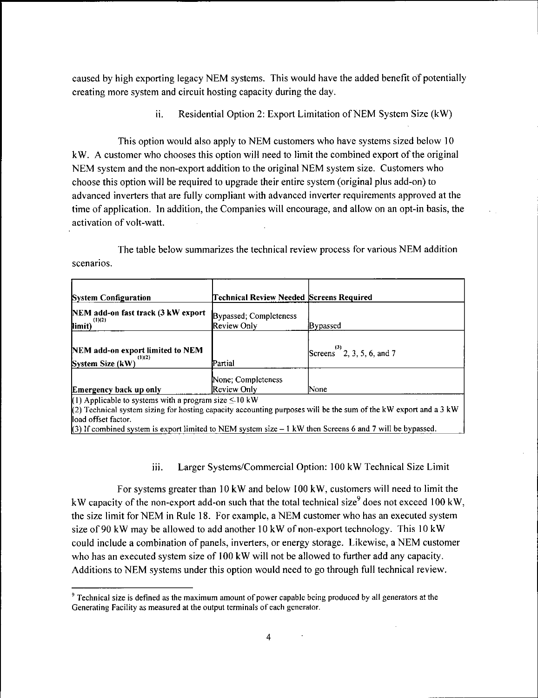caused by high exporting legacy NEM systems. This would have the added benefit of potentially creating more system and circuit hosting capacity during the day.

ii. Residential Option 2: Export Limitation of NEM System Size  $(kW)$ 

This option would also apply to NEM customers who have systems sized below 10 kW. A customer who chooses this option will need to limit the combined export of the original NEM system and the non-export addition to the original NEM system size. Customers who choose this option will be required to upgrade their entire system (original plus add-on) to advanced inverters that are fully compliant with advanced inverter requirements approved at the time of application. In addition, the Companies will encourage, and allow on an opt-in basis, the activation of volt-watt.

The table below summarizes the technical review process for various NEM addition scenarios.

| <b>System Configuration</b>                                    | Technical Review Needed Screens Required |                                    |
|----------------------------------------------------------------|------------------------------------------|------------------------------------|
| NEM add-on fast track (3 kW export<br>(1)(2)<br>limit)         | Bypassed; Completeness<br>Review Only    | <b>Bypassed</b>                    |
| NEM add-on export limited to NEM<br>(1)(2)<br>System Size (kW) | Partial                                  | Screens $^{(3)}$ 2, 3, 5, 6, and 7 |
| Emergency back up only                                         | None; Completeness<br>Review Only        | None                               |
| (1) Applicable to systems with a program size $\leq 10$ kW     |                                          |                                    |

(2) Technical system sizing for hosting capacity accounting purposes will be the sum ofthe kW export and a 3 kW load offset factor.

(3) If combined system is export limited to NEM system size  $-1$  kW then Screens 6 and 7 will be bypassed.

#### iii. Larger Systems/Commercial Option: 100 kW Technical Size Limit

For systems greater than 10 kW and below 100 kW, customers will need to limit the kW capacity of the non-export add-on such that the total technical size<sup>9</sup> does not exceed 100 kW, the size limit for NEM in Rule 18. For example, a NEM customer who has an executed system size of 90 kW may be allowed to add another 10 kW of non-export technology. This 10 kW could include a combination of panels, inverters, or energy storage. Likewise, a NEM customer who has an executed system size of 100 kW will not be allowed to further add any capacity. Additions to NEM systems under this option would need to go through full technical review.

 $9$  Technical size is defined as the maximum amount of power capable being produced by all generators at the Generating Facility as measured at the output terminals of each generator.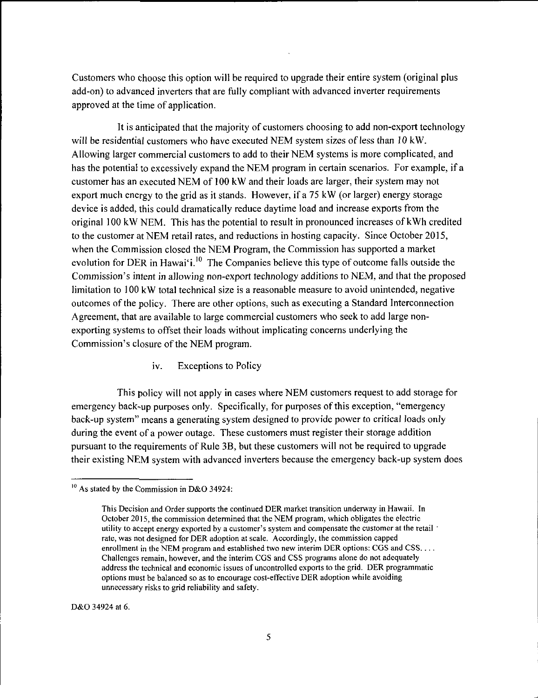Customers who choose this option will be required to upgrade their entire system (original plus add-on) to advanced inverters that are fully compliant with advanced inverter requirements approved at the time of application.

It is anticipated that the majority of customers choosing to add non-export technology will be residential customers who have executed NEM system sizes of less than 10 kW. Allowing larger commercial customers to add to their NEM systems is more complicated, and has the potential to excessively expand the NEM program in certain scenarios. For example, if a customer has an executed NEM of 100 kW and their loads are larger, their system may not export much energy to the grid as it stands. However, if a 75 kW (or larger) energy storage device is added, this could dramatically reduce daytime load and increase exports from the original 100 kW NEM. This has the potential to result in pronounced increases ofkWh credited to the customer at NEM retail rates, and reductions in hosting capacity. Since October 2015, when the Commission closed the NEM Program, the Commission has supported a market evolution for DER in Hawai'i.<sup>10</sup> The Companies believe this type of outcome falls outside the Commission's intent in allowing non-export technology additions to NEM, and that the proposed limitation to 100 kW total technical size is a reasonable measure to avoid unintended, negative outcomes ofthe policy. There are other options, such as executing a Standard Interconnection Agreement, that are available to large commercial customers who seek to add large nonexporting systems to offset their loads without implicating concerns underlying the Commission's closure of the NEM program.

iv. Exceptions to Policy

This policy will not apply in cases where NEM customers request to add storage for emergency back-up purposes only. Specifically, for purposes ofthis exception, "emergency back-up system" means a generating system designed to provide power to critical loads only during the event of a power outage. These customers must register their storage addition pursuant to the requirements ofRule 3B, but these customers will not be required to upgrade their existing NEM system with advanced inverters because the emergency back-up system does

D&O 34924 at 6.

<sup>&</sup>lt;sup>10</sup> As stated by the Commission in D&O 34924:

This Decision and Order supports the continued DER market transition underway in Hawaii. In October 2015, the commission determined that the NEM program, which obligates the electric utility to accept energy exported by a customer's system and compensate the customer at the retail  $\cdot$ rate, was not designed for DER adoption at scale. Accordingly, the commission capped enrollment in the NEM program and established two new interim DER options: CGS and CSS.... Challenges remain, however, and the interim CGS and CSS programs alone do not adequately address the technical and economic issues of uncontrolled exports to the grid. DER programmatic options must be balanced so as to encourage cost-effective DER adoption while avoiding unnecessary risks to grid reliability and safety.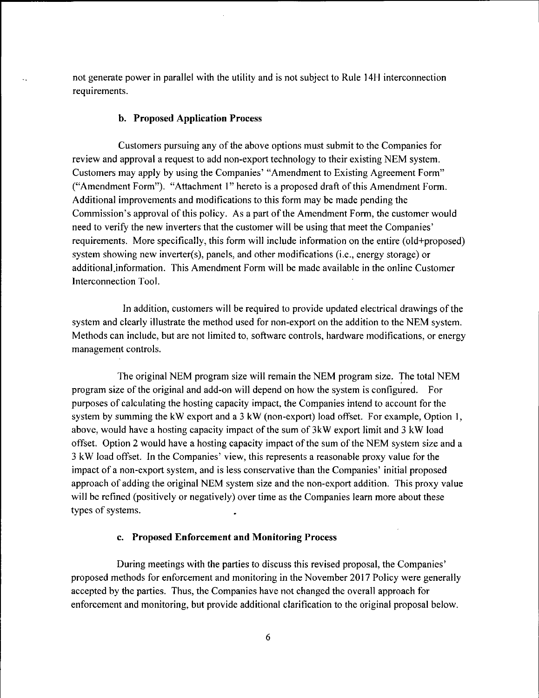not generate power in parallel with the utility and is not subject to Rule 14H interconnection requirements.

### **b. Proposed Application Process**

Customers pursuing any of the above options must submit to the Companies for review and approval a request to add non-export technology to their existing NEM system. Customers may apply by using the Companies' "Amendment to Existing Agreement Form" ("Amendment Form"). "Attachment 1" hereto is a proposed draft ofthis Amendment Form. Additional improvements and modifications to this form may be made pending the Commission's approval of this policy. As a part of the Amendment Form, the customer would need to verity the new inverters that the customer will be using that meet the Companies' requirements. More specifically, this form will include information on the entire (old+proposed) system showing new inverter(s), panels, and other modifications (i.e., energy storage) or additional.information. This Amendment Form will be made available in the online Customer Interconnection Tool.

In addition, customers will be required to provide updated electrical drawings of the system and clearly illustrate the method used for non-export on the addition to the NEM system. Methods can include, but are not limited to, software controls, hardware modifications, or energy management controls.

The original NEM program size will remain the NEM program size. The total NEM program size ofthe original and add-on will depend on how the system is configured. For purposes of calculating the hosting capacity impact, the Companies intend to account for the system by summing the kW export and a 3 kW (non-export) load offset. For example, Option 1, above, would have a hosting capacity impact of the sum of 3kW export limit and 3 kW load offset. Option 2 would have a hosting capacity impact of the sum of the NEM system size and a 3 kW load offset. In the Companies' view, this represents a reasonable proxy value for the impact of a non-export system, and is less conservative than the Companies' initial proposed approach of adding the original NEM system size and the non-export addition. This proxy value will be refined (positively or negatively) over time as the Companies learn more about these types of systems.

#### **c. Proposed Enforcement and Monitoring Process**

During meetings with the parties to discuss this revised proposal, the Companies' proposed methods for enforcement and monitoring in the November 2017 Policy were generally accepted by the parties. Thus, the Companies have not changed the overall approach for enforcement and monitoring, but provide additional clarification to the original proposal below.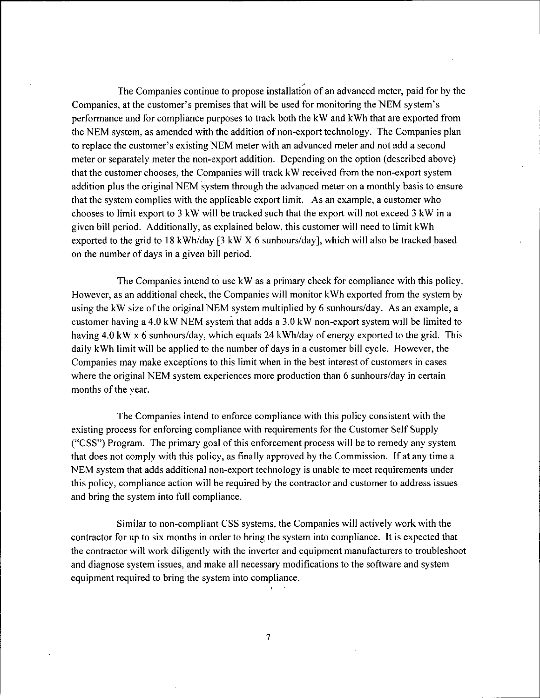The Companies continue to propose installation of an advanced meter, paid for by the Companies, at the customer's premises that will be used for monitoring the NEM system's performance and for compliance purposes to track both the kW and kWh that are exported from the NEM system, as amended with the addition of non-export technology. The Companies plan to replace the customer's existing NEM meter with an advanced meter and not add a second meter or separately meter the non-export addition. Depending on the option (described above) that the customer chooses, the Companies will track kW received from the non-export system addition plus the original NEM system through the advanced meter on a monthly basis to ensure that the system complies with the applicable export limit. As an example, a customer who chooses to limit export to 3 kW will be tracked such that the export will not exceed 3 kW in a given bill period. Additionally, as explained below, this customer will need to limit kWh exported to the grid to 18 kWh/day [3 kW X 6 sunhours/day], which will also be tracked based on the number of days in a given bill period.

The Companies intend to use kW as a primary check for compliance with this policy. However, as an additional check, the Companies will monitor kWh exported from the system by using the kW size ofthe original NEM system multiplied by 6 sunhours/day. As an example, a customer having a 4.0 kW NEM system that adds a 3.0 kW non-export system will be limited to having 4.0 kW x 6 sunhours/day, which equals 24 kWh/day of energy exported to the grid. This daily kWh limit will be applied to the number of days in a customer bill cycle. However, the Companies may make exceptions to this limit when in the best interest of customers in cases where the original NEM system experiences more production than 6 sunhours/day in certain months of the year.

The Companies intend to enforce compliance with this policy consistent with the existing process for enforcing compliance with requirements for the Customer Self Supply ("CSS") Program. The primary goal of this enforcement process will be to remedy any system that does not comply with this policy, as finally approved by the Commission. If at any time a NEM system that adds additional non-export technology is unable to meet requirements under this policy, compliance action will be required by the contractor and customer to address issues and bring the system into full compliance.

Similar to non-compliant CSS systems, the Companies will actively work with the contractor for up to six months in order to bring the system into compliance. It is expected that the contractor will work diligently with the inverter and equipment manufacturers to troubleshoot and diagnose system issues, and make all necessary modifications to the software and system equipment required to bring the system into compliance.

 $\overline{7}$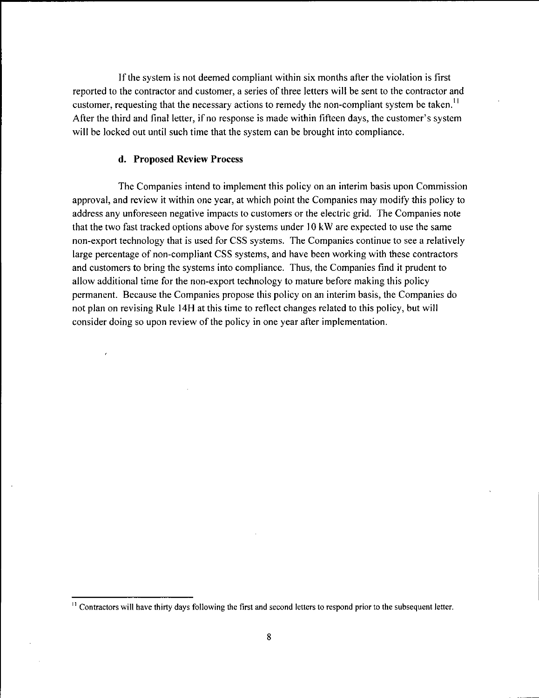If the system is not deemed compliant within six months after the violation is first reported to the contractor and customer, a series of three letters will be sent to the contractor and customer, requesting that the necessary actions to remedy the non-compliant system be taken.<sup>11</sup> After the third and final letter, if no response is made within fifteen days, the customer's system will be locked out until such time that the system can be brought into compliance.

#### **d. Proposed Review Process**

The Companies intend to implement this policy on an interim basis upon Commission approval, and review it within one year, at which point the Companies may modify this policy to address any unforeseen negative impacts to customers or the electric grid. The Companies note that the two fast tracked options above for systems under 10 kW are expected to use the same non-export technology that is used for CSS systems. The Companies continue to see a relatively large percentage of non-compliant CSS systems, and have been working with these contractors and customers to bring the systems into compliance. Thus, the Companies find it prudent to allow additional time for the non-export technology to mature before making this policy permanent. Because the Companies propose this policy on an interim basis, the Companies do not plan on revising Rule 14H at this time to reflect changes related to this policy, but will consider doing so upon review of the policy in one year after implementation.

 $\frac{11}{11}$  Contractors will have thirty days following the first and second letters to respond prior to the subsequent letter.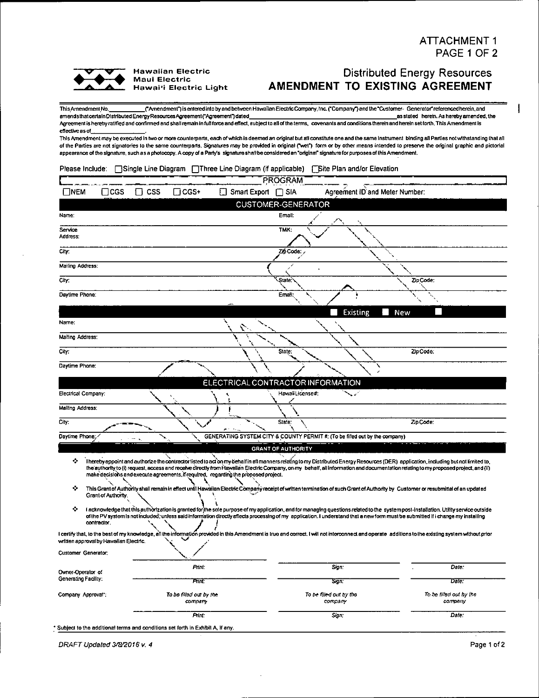

Distributed Energy Resources **AMENDMENT TO EXISTING AGREEMENT**

This.Amen<Jmenl,f'to,fAmendment")is entefedinto byand between HawaiianElectricCompany, Inc. fConipanyOandthe'Customef- Generator\*referencedher^n,and amendsthatcertainOls1ributedEnergyResoufcesA(jreefnefrt("Aflreemefrt")daledasstaled herein.As herebyamended, the Agreement is herebyratified andconfirmed and shall remain infuDforceartd effect, subject to all ofthe terms, covenantsand conditions therein and herein setforth.ThisAmendment is

effective asof. of the Patter and specificates to the same counterparts, Spatial and Deposited in original ("well") form or by other means intended to present the original graphic and pictorial property. The content of the content of the

|                      |                                        | appearance or the signature, such as a photocopy. A copy or a Pany s-signature sharroe considered an -ongitial -signature tor purposes or this Americanian                                                                                                                                                                                                                                                                                                                                                                                                                                                                                              |                                                                             |                                |                                    |
|----------------------|----------------------------------------|---------------------------------------------------------------------------------------------------------------------------------------------------------------------------------------------------------------------------------------------------------------------------------------------------------------------------------------------------------------------------------------------------------------------------------------------------------------------------------------------------------------------------------------------------------------------------------------------------------------------------------------------------------|-----------------------------------------------------------------------------|--------------------------------|------------------------------------|
|                      |                                        | Please Include: □ Single Line Diagram □ Three Line Diagram (if applicable) □ Site Plan and/or Elevation                                                                                                                                                                                                                                                                                                                                                                                                                                                                                                                                                 |                                                                             |                                |                                    |
|                      |                                        |                                                                                                                                                                                                                                                                                                                                                                                                                                                                                                                                                                                                                                                         | <b>PROGRAM</b>                                                              |                                |                                    |
| $\Box$ NEM           | $\Box$ ces                             | $\Box$ css<br>$\Box$ CGS+                                                                                                                                                                                                                                                                                                                                                                                                                                                                                                                                                                                                                               | □ Smart Export □ SIA                                                        | Agreement ID and Meter Number: |                                    |
|                      |                                        |                                                                                                                                                                                                                                                                                                                                                                                                                                                                                                                                                                                                                                                         | <b>CUSTOMER-GENERATOR</b>                                                   |                                |                                    |
| Name:                |                                        |                                                                                                                                                                                                                                                                                                                                                                                                                                                                                                                                                                                                                                                         | Email:                                                                      |                                |                                    |
| Service              |                                        |                                                                                                                                                                                                                                                                                                                                                                                                                                                                                                                                                                                                                                                         | TMK:                                                                        |                                |                                    |
| Address:             |                                        |                                                                                                                                                                                                                                                                                                                                                                                                                                                                                                                                                                                                                                                         |                                                                             |                                |                                    |
| City:                |                                        |                                                                                                                                                                                                                                                                                                                                                                                                                                                                                                                                                                                                                                                         | ZipCode:                                                                    |                                |                                    |
| Mailing Address:     |                                        |                                                                                                                                                                                                                                                                                                                                                                                                                                                                                                                                                                                                                                                         |                                                                             |                                |                                    |
| City:                |                                        |                                                                                                                                                                                                                                                                                                                                                                                                                                                                                                                                                                                                                                                         | ∖State:`                                                                    | Zip Code:                      |                                    |
| Daytime Phone:       |                                        |                                                                                                                                                                                                                                                                                                                                                                                                                                                                                                                                                                                                                                                         | Email:                                                                      |                                |                                    |
|                      |                                        |                                                                                                                                                                                                                                                                                                                                                                                                                                                                                                                                                                                                                                                         |                                                                             | Existing<br><b>New</b>         |                                    |
| Name:                |                                        |                                                                                                                                                                                                                                                                                                                                                                                                                                                                                                                                                                                                                                                         |                                                                             |                                |                                    |
| Malling Address:     |                                        |                                                                                                                                                                                                                                                                                                                                                                                                                                                                                                                                                                                                                                                         |                                                                             |                                |                                    |
| City:                |                                        |                                                                                                                                                                                                                                                                                                                                                                                                                                                                                                                                                                                                                                                         | State:                                                                      | Zip Code.                      |                                    |
| Daytime Phone:       |                                        |                                                                                                                                                                                                                                                                                                                                                                                                                                                                                                                                                                                                                                                         |                                                                             |                                |                                    |
|                      |                                        |                                                                                                                                                                                                                                                                                                                                                                                                                                                                                                                                                                                                                                                         | ELECTRICAL CONTRACTOR INFORMATION                                           |                                |                                    |
| Electrical Company:  |                                        |                                                                                                                                                                                                                                                                                                                                                                                                                                                                                                                                                                                                                                                         | HawaiiLicense#:                                                             |                                |                                    |
| Mailing Address.     |                                        | t                                                                                                                                                                                                                                                                                                                                                                                                                                                                                                                                                                                                                                                       |                                                                             |                                |                                    |
| City:                |                                        |                                                                                                                                                                                                                                                                                                                                                                                                                                                                                                                                                                                                                                                         | State:                                                                      | Zip Code:                      |                                    |
| Daytime Phone;       |                                        |                                                                                                                                                                                                                                                                                                                                                                                                                                                                                                                                                                                                                                                         | GENERATING SYSTEM CITY & COUNTY PERMIT #: (To be filled out by the company) |                                |                                    |
|                      |                                        |                                                                                                                                                                                                                                                                                                                                                                                                                                                                                                                                                                                                                                                         | <b>GRANT OF AUTHORITY</b>                                                   |                                |                                    |
| ÷<br>٠               | Grant of Authority.                    | I hereby appoint and authorize the contractor listed to act on my behalf in all manners relating to my Distributed Energy Resources (DER) application, including but not limited to,<br>the authority to (i) request, access and receive directly from Hawalian Electric Company, on my behalf, all information and documentation relating to my proposed project, and (ii)<br>make decisions and execute agreements, if required, regarding the proposed project.<br>This Grant of Authority shall remain in effect until Hawaiian Electric Company receipt of written termination of such Grant of Authority by Customer or resubmittal of an updated |                                                                             |                                |                                    |
| ≎                    | contractor.                            | I acknowledge that this authorization is granted for the sole purpose of my application, and for managing questions related to the system post-installation. Utility service outside<br>of the PV system is not included; unless said information directly affects processing of my application. I understand that a new form must be submitted if I change my installing                                                                                                                                                                                                                                                                               |                                                                             |                                |                                    |
|                      | written approval by Hawalian Electric. | I certify that, to the best of my knowledge, all the information provided in this Amendment is true and correct. I will not interconnect and operate additions to the existing system without prior                                                                                                                                                                                                                                                                                                                                                                                                                                                     |                                                                             |                                |                                    |
|                      | <b>Customer Generator:</b>             |                                                                                                                                                                                                                                                                                                                                                                                                                                                                                                                                                                                                                                                         |                                                                             |                                |                                    |
| Owner-Operator of    |                                        | Print:                                                                                                                                                                                                                                                                                                                                                                                                                                                                                                                                                                                                                                                  | Sign:                                                                       |                                | Date:                              |
| Generating Facility: |                                        | Print.                                                                                                                                                                                                                                                                                                                                                                                                                                                                                                                                                                                                                                                  | Sign:                                                                       |                                | Date:                              |
|                      | Company Approval*:                     | To be filled out by the<br>company                                                                                                                                                                                                                                                                                                                                                                                                                                                                                                                                                                                                                      | To be filed out by the<br>company                                           |                                | To be filled out by the<br>company |

' Subjed to the additional terms and conditions set forth In Exhibit A, K any.

*Print*

*DRAFT Updated 3/8^016 V. 4* Page <sup>1</sup> of2

*Sign:* Dafe: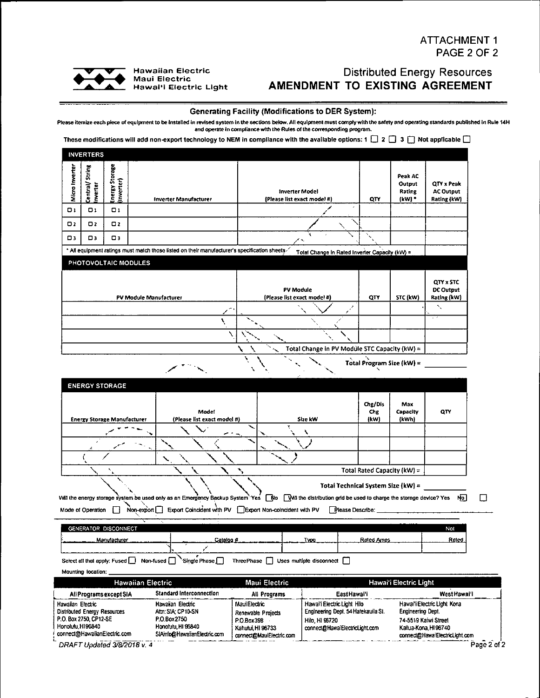ATTACHMENT <sup>1</sup> PAGE 2 OF 2



**Hawaiian Electric Maui Electric Hawai'i Electric Light**

# Distributed Energy Resources **AMENDMENT TO EXISTING AGREEMENT**

**Generating Facility (Modifications to DER System):** and operate in compliance with the Rules of the corresponding program.

These modifications will add non-export technology to NEM in compliance with the available options: 1  $\Box$  2  $\Box$  3  $\Box$  Not applicable  $\Box$ 

|                | <b>INVERTERS</b>                      |                                       |                                                                                               |                                                      |     |                                         |                                                     |
|----------------|---------------------------------------|---------------------------------------|-----------------------------------------------------------------------------------------------|------------------------------------------------------|-----|-----------------------------------------|-----------------------------------------------------|
| Micro Inverter | <b>String</b><br>Central/<br>Inverter | <b>Suppered Storage</b><br>(Inverter) | <b>Inverter Manufacturer</b>                                                                  | <b>Inverter Model</b><br>(Please list exact model #) | QTY | Peak AC<br>Output<br>Rating<br>$(NN)$ * | QTY x Peak<br><b>AC Output</b><br>Rating (kW)       |
| $\Box$         | $\Box$                                | $\Box$ 1                              |                                                                                               | ×                                                    |     |                                         |                                                     |
| D <sub>2</sub> | $\square$                             | $\Box$                                |                                                                                               |                                                      |     |                                         |                                                     |
| $\square$      | $\square$                             | $\square$                             |                                                                                               |                                                      |     |                                         |                                                     |
|                |                                       |                                       | * All equipment ratings must match those listed on their manufacturer's specification sheets. | Total Change in Rated Inverter Capacity (kW) =       |     |                                         |                                                     |
|                |                                       | PHOTOVOLTAIC MODULES                  |                                                                                               |                                                      |     |                                         |                                                     |
|                |                                       |                                       | PV Module Manufacturer                                                                        | PV Module<br>(Please list exact model #)             | QTY | STC (kW)                                | <b>QTY x STC</b><br><b>DC Output</b><br>Rating (kW) |
|                |                                       |                                       |                                                                                               |                                                      |     |                                         | ٦,                                                  |
|                |                                       |                                       | N                                                                                             |                                                      |     |                                         | - 7                                                 |
|                |                                       |                                       |                                                                                               |                                                      |     |                                         |                                                     |
|                |                                       |                                       |                                                                                               | Total Change in PV Module STC Capacity (kW) =        |     |                                         |                                                     |
|                | Total Program Size (kW) =             |                                       |                                                                                               |                                                      |     |                                         |                                                     |

| <b>ENERGY STORAGE</b>              |                                      |         |                             |                          |     |
|------------------------------------|--------------------------------------|---------|-----------------------------|--------------------------|-----|
| <b>Energy Storage Manufacturer</b> | Model<br>(Please list exact model #) | Size kW | Chg/Dis<br>Chg<br>(kW)      | Max<br>Capacity<br>(kWh) | QTY |
|                                    | $\sim$                               |         |                             |                          |     |
|                                    |                                      |         |                             |                          |     |
|                                    |                                      |         |                             |                          |     |
|                                    |                                      |         | Total Rated Capacity (kW) = |                          |     |
|                                    |                                      |         |                             |                          |     |

|                   |                                                                    | Total Technical System Size (kW) =                                                                                                                            |  |
|-------------------|--------------------------------------------------------------------|---------------------------------------------------------------------------------------------------------------------------------------------------------------|--|
|                   |                                                                    | Will the energy storage system be used only as an Emergency Backup System Yes [ฟิง [ฟิงfi the distribution grid be used to charge the storage device? Yes No] |  |
| Mode of Operation | Non-export Export Coincident with PV Export Non-coincident with PV | Please Describe:                                                                                                                                              |  |
|                   |                                                                    |                                                                                                                                                               |  |

| GENERATOR DISCONNECT | .         |             | -- - -- -  | . .<br>Not |
|----------------------|-----------|-------------|------------|------------|
| Manufacturer         | Calalon " | <b>Type</b> | Rated Amps | Rated      |
| -------              |           |             |            |            |

Select all that apply: Fused | Non-fused | Single Phase | ThreePhase | Uses multiple disconned |

Mounting location:\_\_\_\_\_\_\_\_\_\_\_\_\_\_\_\_\_\_\_\_\_\_\_\_\_\_\_\_\_\_\_\_\_\_\_\_\_\_\_\_\_\_\_\_\_\_\_\_\_\_\_\_\_\_\_\_\_\_\_\_\_\_\_\_\_\_\_\_\_\_\_\_

| <b>Hawaiian Electric</b>                                                                                                            |                                                                                                               | Maui Electric                                                                                      | Hawai i Electric Light                                                                                                 |                                                                                                                                           |  |
|-------------------------------------------------------------------------------------------------------------------------------------|---------------------------------------------------------------------------------------------------------------|----------------------------------------------------------------------------------------------------|------------------------------------------------------------------------------------------------------------------------|-------------------------------------------------------------------------------------------------------------------------------------------|--|
| All Programs except SIA                                                                                                             | Standard Interconnection                                                                                      | All Programs                                                                                       | EastHawai'i                                                                                                            | West Hawai'l                                                                                                                              |  |
| l Hawaiian Electric<br>Distributed Energy Resources<br>P.O. Box 2750, CP12-SE<br>i Honolulu H196840<br>connect@HawalianElectric.com | Hawaiian Electric<br>Attn: SIA: CP10-SN<br>P.O.Box 2750<br>Honolulu, HI 96840<br>SIAinfo@HawaiianElectric.com | Maul Electric<br>Renewable Projects<br>P.O.Box 398<br>Kahului HI 96733<br>connect@MauiElectric.com | Hawai'i Electric Light Hilo<br>Engineering Dept. 54 Halekauila St.<br>Hilo, HI 96720<br>connect@HawaiElectricLight.com | Hawal'i Electric Light Kona<br><b>Engineering Dept.</b><br>74-5519 Kaiwi Street<br>Kailua-Kona, HI96740<br>connect@HawaiElectricLight.com |  |

*DRAFT Updated y8/2018v.* Page 2 of 2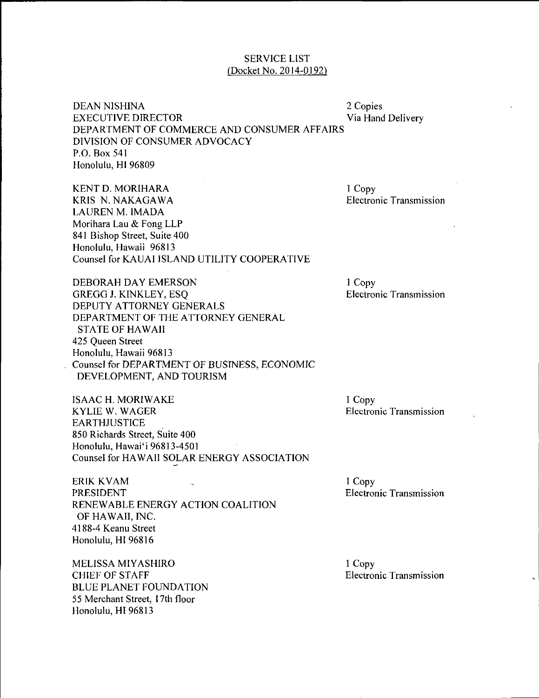# SERVICE LIST (Docket No. 2014-0192^

DEAN NISHINA EXECUTIVE DIRECTOR DEPARTMENT OF COMMERCE AND CONSUMER AFFAIRS DIVISION OF CONSUMER ADVOCACY P.O. Box 541 Honolulu, HI 96809 2 Copies Via Hand Delivery

KENTD. MORIHARA KRIS N.NAKAGAWA LAUREN M. IMADA Morihara Lau & Fong LLP 841 Bishop Street, Suite 400 Honolulu, Hawaii 96813 Counsel for KAUAI ISLAND UTILITY COOPERATIVE

DEBORAH DAY EMERSON GREGG J. KINKLEY, ESQ DEPUTY ATTORNEY GENERALS DEPARTMENT OF THE ATTORNEY GENERAL STATE OF HAWAII 425 Queen Street Honolulu, Hawaii 96813 Counsel for DEPARTMENT OF BUSINESS, ECONOMIC DEVELOPMENT, AND TOURISM

ISAAC H.MORIWAKE KYLIEW. WAGER EARTHJUSTICE 850 Richards Street, Suite 400 Honolulu, Hawai'i 96813-4501 Counsel for HAWAII SOLAR ENERGY ASSOCIATION

ERIK KVAM PRESIDENT RENEWABLE ENERGY ACTION COALITION OF HAWAII, INC. 4188-4 Keanu Street Honolulu, HI 96816

MELISSA MIYASHIRO CHIEF OF STAFF BLUE PLANET FOUNDATION 55 Merehant Street, 17th floor Honolulu, HI 96813

<sup>1</sup> Copy Electronic Transmission

<sup>1</sup> Copy Electronic Transmission

<sup>1</sup> Copy Electronic Transmission

<sup>1</sup> Copy Electronic Transmission

<sup>1</sup> Copy Electronic Transmission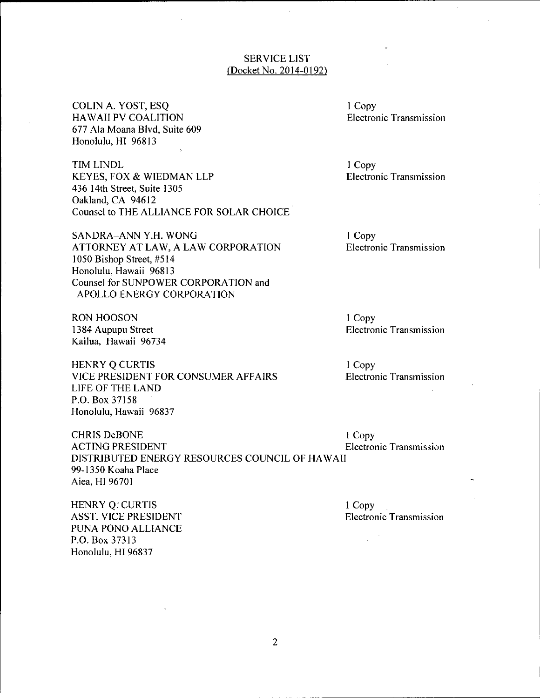## SERVICE LIST (Docket No. 2014-0192)

COLIN A. YOST, ESQ HAWAII PV COALITION 677 Ala Moana Blvd, Suite 609 Honolulu, HI 96813

TIM LINDL KEYES, FOX & WIEDMAN LLP 436 14th Street, Suite 1305 Oakland, CA 94612 Counsel to THE ALLIANCE FOR SOLAR CHOICE

SANDRA-ANN Y.H. WONG ATTORNEY AT LAW, A LAW CORPORATION 1050 Bishop Street, #514 Honolulu, Hawaii 96813 Counsel for SUNPOWER CORPORATION and APOLLO ENERGY CORPORATION

RON HOOSON 1384 Aupupu Street Kailua, Hawaii 96734

HENRY Q CURTIS VICE PRESIDENT FOR CONSUMER AFFAIRS LIFE OF THE LAND P.O.Box 37158 Honolulu, Hawaii 96837

<sup>1</sup> Copy Electronic Transmission

<sup>1</sup> Copy Electronic Transmission

<sup>1</sup> Copy Electronic Transmission

<sup>1</sup> Copy Electronic Transmission

<sup>1</sup> Copy Electronic Transmission

CHRIS DeBONE ACTING PRESIDENT <sup>1</sup> Copy Electronic Transmission DISTRIBUTED ENERGY RESOURCES COUNCIL OF HAWAII 99-1350 Koaha Place Aiea, HI 96701

HENRY O. CURTIS ASST. VICE PRESIDENT PUNA PONO ALLIANCE P.O. Box 37313 Honolulu, HI 96837

<sup>1</sup> Copy Electronic Transmission